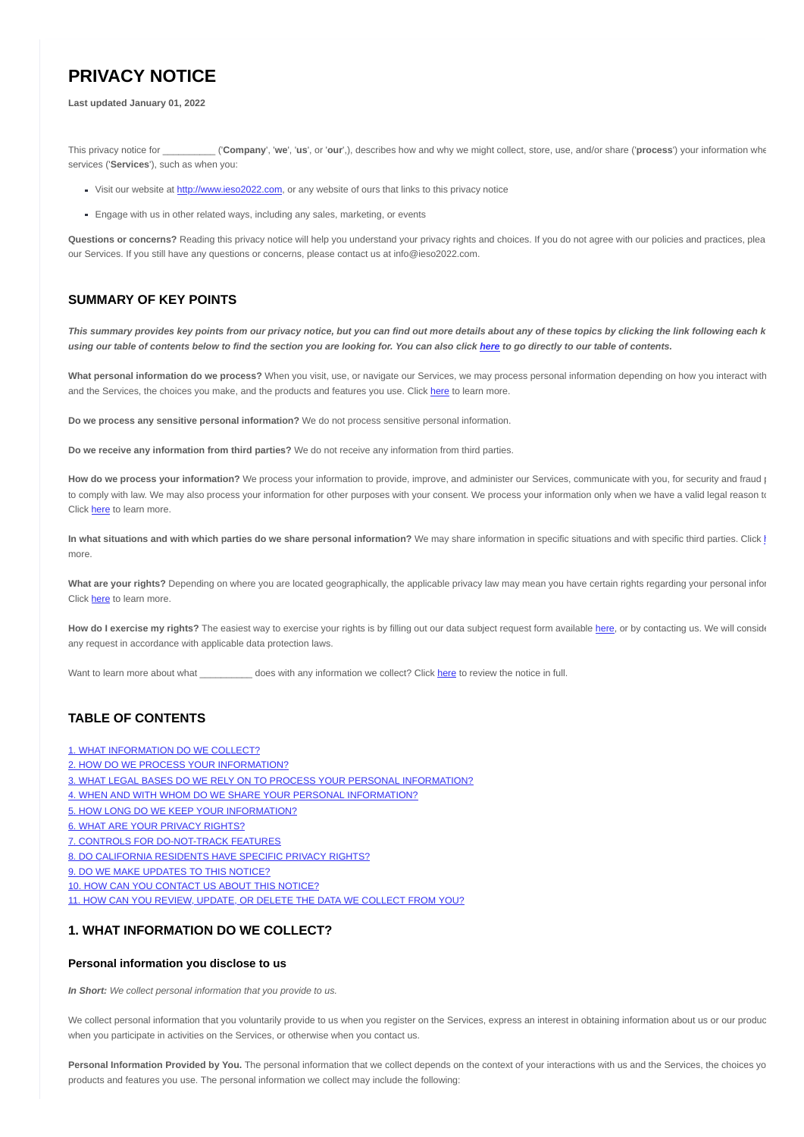# **PRIVACY NOTICE**

#### **Last updated January 01, 2022**

This privacy notice for \_\_\_\_\_\_\_\_\_\_ ('**Company**', '**we**', '**us**', or '**our**',), describes how and why we might collect, store, use, and/or share ('**process**') your information whe services ('**Services**'), such as when you:

- Visit our website at [http://www.ieso2022.com](http://www.ieso2022.com/), or any website of ours that links to this privacy notice
- **Engage with us in other related ways, including any sales, marketing, or events**

**Questions or concerns?** Reading this privacy notice will help you understand your privacy rights and choices. If you do not agree with our policies and practices, plea our Services. If you still have any questions or concerns, please contact us at info@ieso2022.com.

### **SUMMARY OF KEY POINTS**

*This summary provides key points from our privacy notice, but you can find out more details about any of these topics by clicking the link following each k using our table of contents below to find the section you are looking for. You can also click [here](#page-0-0) to go directly to our table of contents.*

**What personal information do we process?** When you visit, use, or navigate our Services, we may process personal information depending on how you interact with and the Services, the choices you make, and the products and features you use. Click [here](#page-0-1) to learn more.

**Do we process any sensitive personal information?** We do not process sensitive personal information.

**Do we receive any information from third parties?** We do not receive any information from third parties.

How do we process your information? We process your information to provide, improve, and administer our Services, communicate with you, for security and fraud practical to comply with law. We may also process your information for other purposes with your consent. We process your information only when we have a valid legal reason to Click [here](#page-1-0) to learn more.

In w[h](#page-2-0)at situations and with which parties do we share personal information? We may share information in specific situations and with specific third parties. Click h more.

What are your rights? Depending on where you are located geographically, the applicable privacy law may mean you have certain rights regarding your personal infor Click [here](#page-2-1) to learn more.

How do I exercise my rights? The easiest way to exercise your rights is by filling out our data subject request form available [here](https://app.termly.io/notify/3c50582a-8d5d-431b-abae-968a9c3289d1), or by contacting us. We will conside any request in accordance with applicable data protection laws.

Want to learn more about what \_\_\_\_\_\_\_\_\_\_\_\_ does with any information we collect? Click [here](#page-0-0) to review the notice in full.

# <span id="page-0-0"></span>**TABLE OF CONTENTS**

- [1. WHAT INFORMATION DO WE COLLECT?](#page-0-2)
- [2. HOW DO WE PROCESS YOUR INFORMATION?](#page-1-0)
- [3. WHAT LEGAL BASES DO WE RELY ON TO PROCESS YOUR PERSONAL INFORMATION?](#page-1-1)
- [4. WHEN AND WITH WHOM DO WE SHARE YOUR PERSONAL INFORMATION?](#page-2-0)
- [5. HOW LONG DO WE KEEP YOUR INFORMATION?](#page-2-2)
- [6. WHAT ARE YOUR PRIVACY RIGHTS?](#page-2-1)
- [7. CONTROLS FOR DO-NOT-TRACK FEATURES](#page-2-3)
- [8. DO CALIFORNIA RESIDENTS HAVE SPECIFIC PRIVACY RIGHTS?](#page-2-4)
- [9. DO WE MAKE UPDATES TO THIS NOTICE?](#page-5-0)
- [10. HOW CAN YOU CONTACT US ABOUT THIS NOTICE?](#page-5-1)

[11. HOW CAN YOU REVIEW, UPDATE, OR DELETE THE DATA WE COLLECT FROM YOU?](#page-5-2)

### <span id="page-0-2"></span>**1. WHAT INFORMATION DO WE COLLECT?**

### <span id="page-0-1"></span>**Personal information you disclose to us**

*In Short: We collect personal information that you provide to us.*

We collect personal information that you voluntarily provide to us when you register on the Services, express an interest in obtaining information about us or our produc when you participate in activities on the Services, or otherwise when you contact us.

**Personal Information Provided by You.** The personal information that we collect depends on the context of your interactions with us and the Services, the choices yo products and features you use. The personal information we collect may include the following: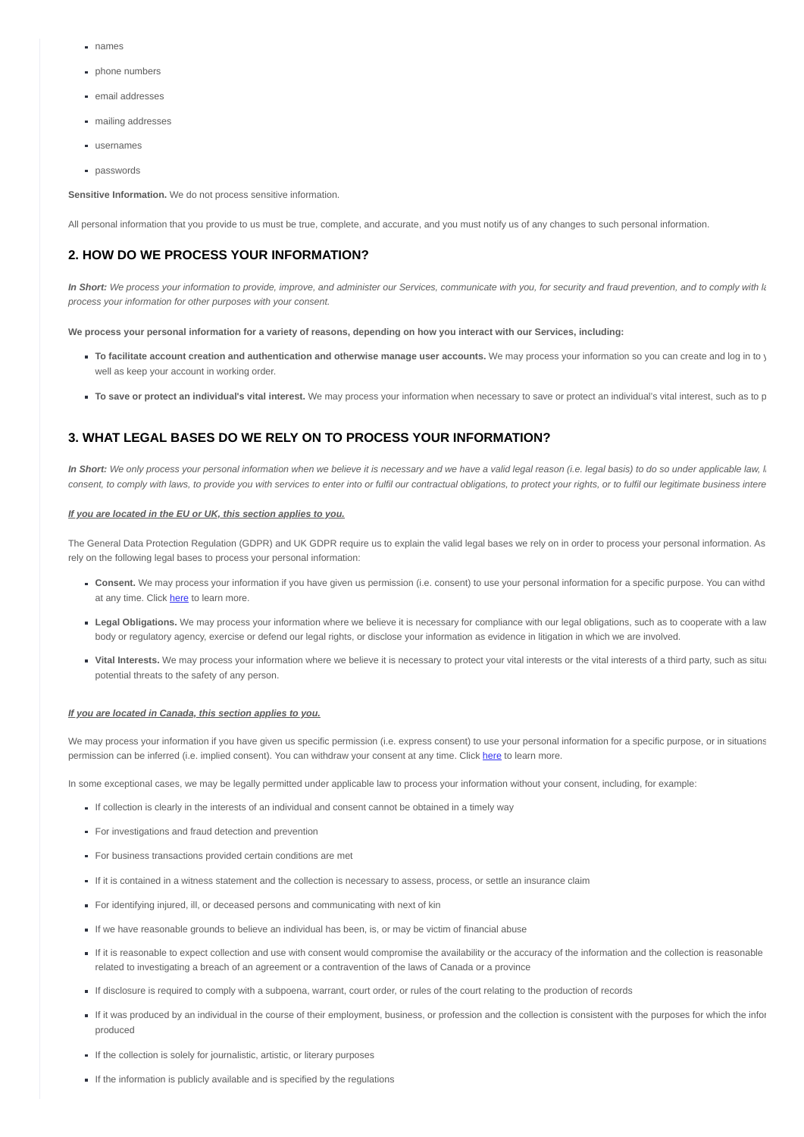- names
- **phone numbers**
- email addresses
- $m$  mailing addresses
- usernames
- **passwords**

**Sensitive Information.** We do not process sensitive information.

All personal information that you provide to us must be true, complete, and accurate, and you must notify us of any changes to such personal information.

### <span id="page-1-0"></span>**2. HOW DO WE PROCESS YOUR INFORMATION?**

In Short: We process your information to provide, improve, and administer our Services, communicate with you, for security and fraud prevention, and to comply with la *process your information for other purposes with your consent.*

**We process your personal information for a variety of reasons, depending on how you interact with our Services, including:**

- **To facilitate account creation and authentication and otherwise manage user accounts.** We may process your information so you can create and log in to y well as keep your account in working order.
- **To save or protect an individual's vital interest.** We may process your information when necessary to save or protect an individual's vital interest, such as to p

## <span id="page-1-1"></span>**3. WHAT LEGAL BASES DO WE RELY ON TO PROCESS YOUR INFORMATION?**

In Short: We only process your personal information when we believe it is necessary and we have a valid legal reason (i.e. legal basis) to do so under applicable law, l. *consent, to comply with laws, to provide you with services to enter into or fulfil our contractual obligations, to protect your rights, or to fulfil our legitimate business intere*

#### *If you are located in the EU or UK, this section applies to you.*

The General Data Protection Regulation (GDPR) and UK GDPR require us to explain the valid legal bases we rely on in order to process your personal information. As rely on the following legal bases to process your personal information:

- **Consent.** We may process your information if you have given us permission (i.e. consent) to use your personal information for a specific purpose. You can withd at any time. Click **here** to learn more.
- **Legal Obligations.** We may process your information where we believe it is necessary for compliance with our legal obligations, such as to cooperate with a law body or regulatory agency, exercise or defend our legal rights, or disclose your information as evidence in litigation in which we are involved.
- **Vital Interests.** We may process your information where we believe it is necessary to protect your yital interests or the yital interests of a third party, such as situal potential threats to the safety of any person.

#### *If you are located in Canada, this section applies to you.*

We may process your information if you have given us specific permission (i.e. express consent) to use your personal information for a specific purpose, or in situations permission can be inferred (i.e. implied consent). You can withdraw your consent at any time. Click [here](#page-2-5) to learn more.

In some exceptional cases, we may be legally permitted under applicable law to process your information without your consent, including, for example:

- If collection is clearly in the interests of an individual and consent cannot be obtained in a timely way
- For investigations and fraud detection and prevention
- For business transactions provided certain conditions are met
- If it is contained in a witness statement and the collection is necessary to assess, process, or settle an insurance claim
- For identifying injured, ill, or deceased persons and communicating with next of kin
- If we have reasonable grounds to believe an individual has been, is, or may be victim of financial abuse
- If it is reasonable to expect collection and use with consent would compromise the availability or the accuracy of the information and the collection is reasonable related to investigating a breach of an agreement or a contravention of the laws of Canada or a province
- If disclosure is required to comply with a subpoena, warrant, court order, or rules of the court relating to the production of records
- If it was produced by an individual in the course of their employment, business, or profession and the collection is consistent with the purposes for which the infor produced
- If the collection is solely for journalistic, artistic, or literary purposes
- If the information is publicly available and is specified by the regulations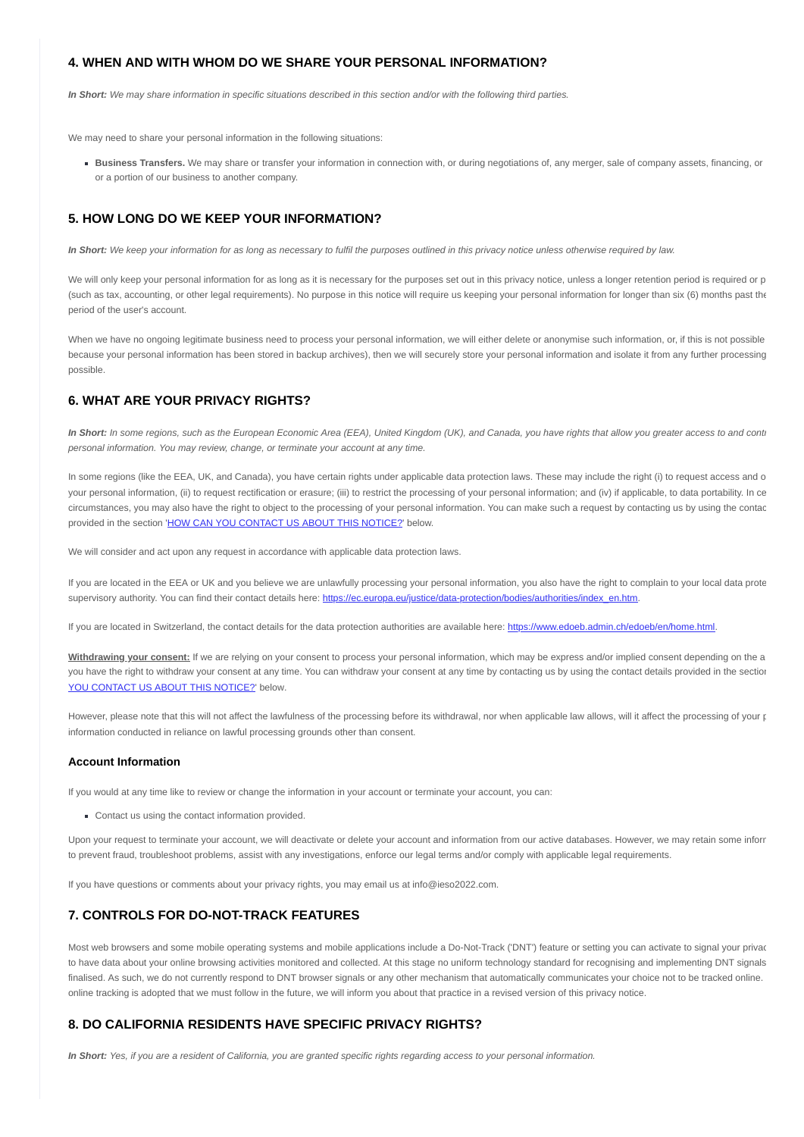### <span id="page-2-0"></span>**4. WHEN AND WITH WHOM DO WE SHARE YOUR PERSONAL INFORMATION?**

*In Short: We may share information in specific situations described in this section and/or with the following third parties.*

We may need to share your personal information in the following situations:

**Business Transfers.** We may share or transfer your information in connection with, or during negotiations of, any merger, sale of company assets, financing, or or a portion of our business to another company.

### <span id="page-2-2"></span>**5. HOW LONG DO WE KEEP YOUR INFORMATION?**

*In Short: We keep your information for as long as necessary to fulfil the purposes outlined in this privacy notice unless otherwise required by law.*

We will only keep your personal information for as long as it is necessary for the purposes set out in this privacy notice, unless a longer retention period is required or p (such as tax, accounting, or other legal requirements). No purpose in this notice will require us keeping your personal information for longer than six (6) months past the period of the user's account.

When we have no ongoing legitimate business need to process your personal information, we will either delete or anonymise such information, or, if this is not possible because your personal information has been stored in backup archives), then we will securely store your personal information and isolate it from any further processing possible.

# <span id="page-2-1"></span>**6. WHAT ARE YOUR PRIVACY RIGHTS?**

In Short: In some regions, such as the European Economic Area (EEA), United Kingdom (UK), and Canada, you have rights that allow you greater access to and contr *personal information. You may review, change, or terminate your account at any time.*

In some regions (like the EEA, UK, and Canada), you have certain rights under applicable data protection laws. These may include the right (i) to request access and o your personal information, (ii) to request rectification or erasure; (iii) to restrict the processing of your personal information; and (iv) if applicable, to data portability. In ce circumstances, you may also have the right to object to the processing of your personal information. You can make such a request by contacting us by using the contac provided in the section '[HOW CAN YOU CONTACT US ABOUT THIS NOTICE?](#page-5-1)' below.

We will consider and act upon any request in accordance with applicable data protection laws.

If you are located in the EEA or UK and you believe we are unlawfully processing your personal information, you also have the right to complain to your local data prote supervisory authority. You can find their contact details here: [https://ec.europa.eu/justice/data-protection/bodies/authorities/index\\_en.htm](https://ec.europa.eu/justice/data-protection/bodies/authorities/index_en.htm).

If you are located in Switzerland, the contact details for the data protection authorities are available here: <https://www.edoeb.admin.ch/edoeb/en/home.html>.

<span id="page-2-5"></span>**Withdrawing your consent:** If we are relying on your consent to process your personal information, which may be express and/or implied consent depending on the a [you have the right to withdraw your consent at any time. You can withdraw your consent at any time by contacting us by using the contact details provided in the section](#page-5-1) YOU CONTACT US ABOUT THIS NOTICE?' below.

However, please note that this will not affect the lawfulness of the processing before its withdrawal, nor when applicable law allows, will it affect the processing of your p information conducted in reliance on lawful processing grounds other than consent.

#### **Account Information**

If you would at any time like to review or change the information in your account or terminate your account, you can:

Contact us using the contact information provided.

Upon your request to terminate your account, we will deactivate or delete your account and information from our active databases. However, we may retain some inforr to prevent fraud, troubleshoot problems, assist with any investigations, enforce our legal terms and/or comply with applicable legal requirements.

If you have questions or comments about your privacy rights, you may email us at info@ieso2022.com.

### <span id="page-2-3"></span>**7. CONTROLS FOR DO-NOT-TRACK FEATURES**

Most web browsers and some mobile operating systems and mobile applications include a Do-Not-Track ('DNT') feature or setting you can activate to signal your privac to have data about your online browsing activities monitored and collected. At this stage no uniform technology standard for recognising and implementing DNT signals finalised. As such, we do not currently respond to DNT browser signals or any other mechanism that automatically communicates your choice not to be tracked online. online tracking is adopted that we must follow in the future, we will inform you about that practice in a revised version of this privacy notice.

### <span id="page-2-4"></span>**8. DO CALIFORNIA RESIDENTS HAVE SPECIFIC PRIVACY RIGHTS?**

*In Short: Yes, if you are a resident of California, you are granted specific rights regarding access to your personal information.*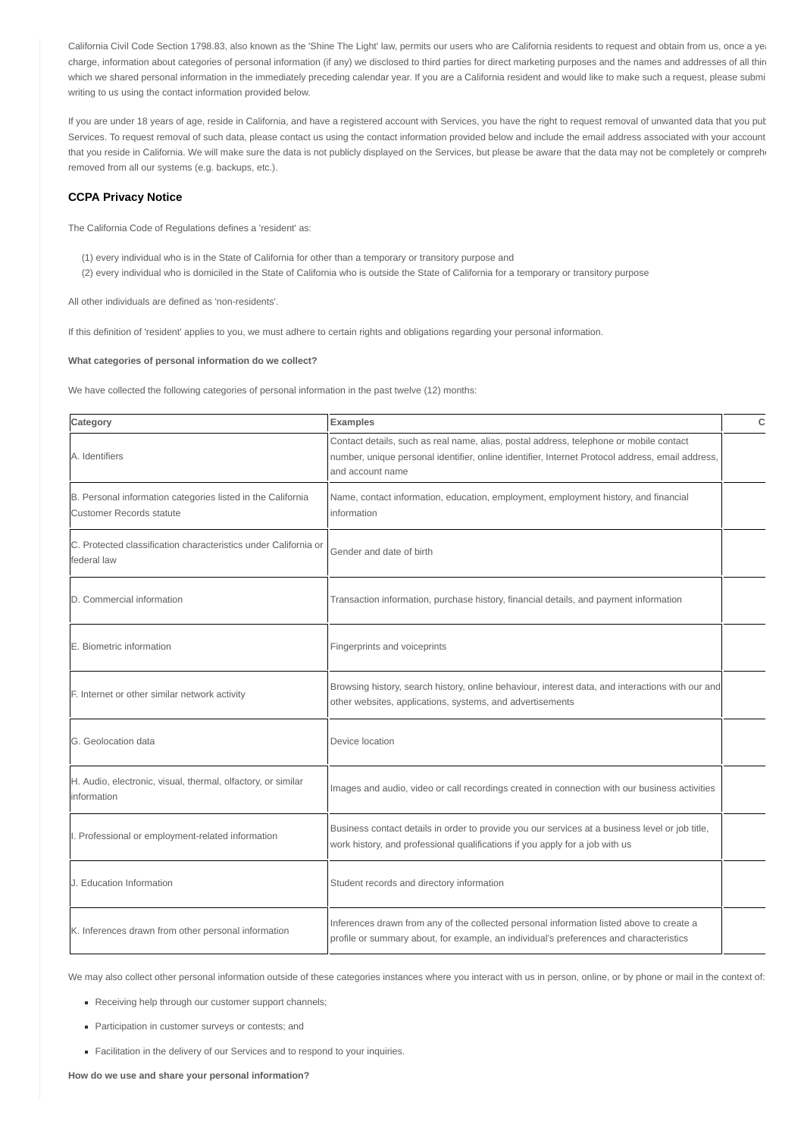California Civil Code Section 1798.83, also known as the 'Shine The Light' law, permits our users who are California residents to request and obtain from us, once a yea charge, information about categories of personal information (if any) we disclosed to third parties for direct marketing purposes and the names and addresses of all third which we shared personal information in the immediately preceding calendar year. If you are a California resident and would like to make such a request, please submi writing to us using the contact information provided below.

If you are under 18 years of age, reside in California, and have a registered account with Services, you have the right to request removal of unwanted data that you put Services. To request removal of such data, please contact us using the contact information provided below and include the email address associated with your account that you reside in California. We will make sure the data is not publicly displayed on the Services, but please be aware that the data may not be completely or comprehe removed from all our systems (e.g. backups, etc.).

#### **CCPA Privacy Notice**

The California Code of Regulations defines a 'resident' as:

(1) every individual who is in the State of California for other than a temporary or transitory purpose and (2) every individual who is domiciled in the State of California who is outside the State of California for a temporary or transitory purpose

All other individuals are defined as 'non-residents'.

If this definition of 'resident' applies to you, we must adhere to certain rights and obligations regarding your personal information.

#### **What categories of personal information do we collect?**

We have collected the following categories of personal information in the past twelve (12) months:

| Category                                                                                       | <b>Examples</b>                                                                                                                                                                                                | C |
|------------------------------------------------------------------------------------------------|----------------------------------------------------------------------------------------------------------------------------------------------------------------------------------------------------------------|---|
| A. Identifiers                                                                                 | Contact details, such as real name, alias, postal address, telephone or mobile contact<br>number, unique personal identifier, online identifier, Internet Protocol address, email address,<br>and account name |   |
| B. Personal information categories listed in the California<br><b>Customer Records statute</b> | Name, contact information, education, employment, employment history, and financial<br>information                                                                                                             |   |
| C. Protected classification characteristics under California or<br>federal law                 | Gender and date of birth                                                                                                                                                                                       |   |
| D. Commercial information                                                                      | Transaction information, purchase history, financial details, and payment information                                                                                                                          |   |
| E. Biometric information                                                                       | Fingerprints and voiceprints                                                                                                                                                                                   |   |
| F. Internet or other similar network activity                                                  | Browsing history, search history, online behaviour, interest data, and interactions with our and<br>other websites, applications, systems, and advertisements                                                  |   |
| G. Geolocation data                                                                            | Device location                                                                                                                                                                                                |   |
| H. Audio, electronic, visual, thermal, olfactory, or similar<br>information                    | Images and audio, video or call recordings created in connection with our business activities                                                                                                                  |   |
| I. Professional or employment-related information                                              | Business contact details in order to provide you our services at a business level or job title,<br>work history, and professional qualifications if you apply for a job with us                                |   |
| J. Education Information                                                                       | Student records and directory information                                                                                                                                                                      |   |
| K. Inferences drawn from other personal information                                            | Inferences drawn from any of the collected personal information listed above to create a<br>profile or summary about, for example, an individual's preferences and characteristics                             |   |

We may also collect other personal information outside of these categories instances where you interact with us in person, online, or by phone or mail in the context of:

Receiving help through our customer support channels;

- **Participation in customer surveys or contests; and**
- Facilitation in the delivery of our Services and to respond to your inquiries.

**How do we use and share your personal information?**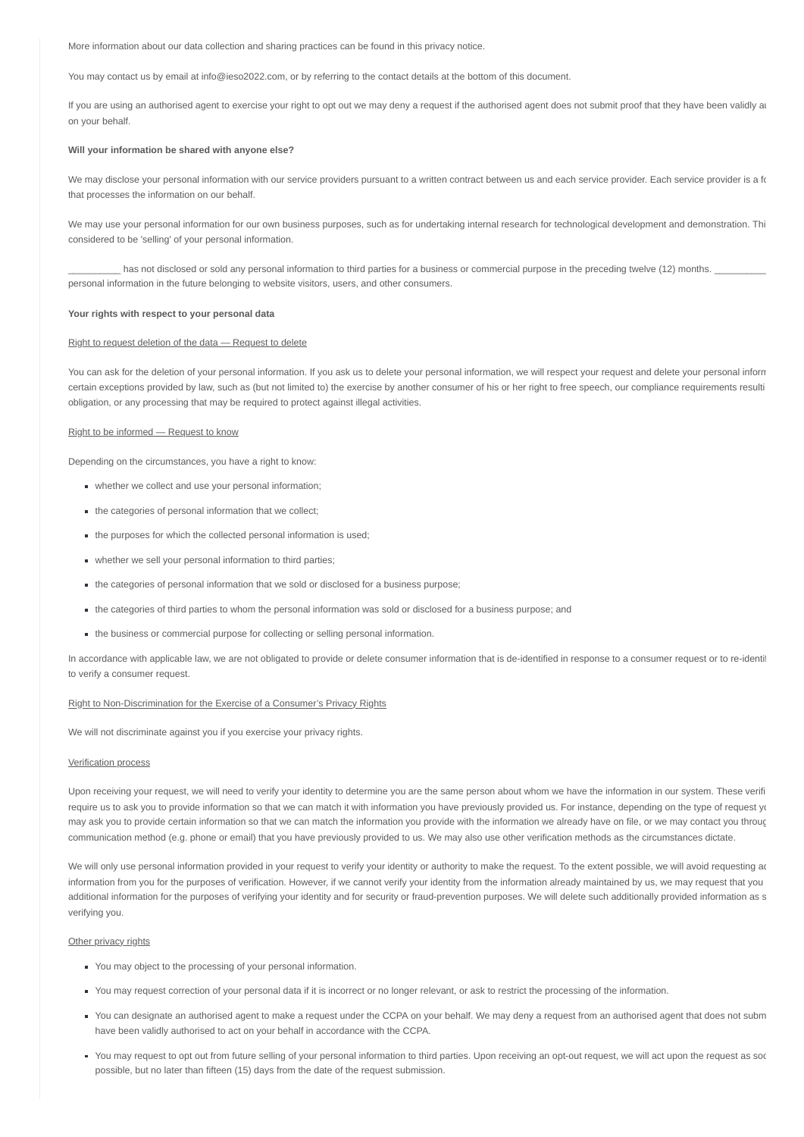More information about our data collection and sharing practices can be found in this privacy notice.

You may contact us by email at info@ieso2022.com, or by referring to the contact details at the bottom of this document.

If you are using an authorised agent to exercise your right to opt out we may deny a request if the authorised agent does not submit proof that they have been validly at on your behalf.

#### **Will your information be shared with anyone else?**

We may disclose your personal information with our service providers pursuant to a written contract between us and each service provider. Each service provider is a fo that processes the information on our behalf.

We may use your personal information for our own business purposes, such as for undertaking internal research for technological development and demonstration. Thi considered to be 'selling' of your personal information.

\_has not disclosed or sold any personal information to third parties for a business or commercial purpose in the preceding twelve (12) months. personal information in the future belonging to website visitors, users, and other consumers.

#### **Your rights with respect to your personal data**

#### Right to request deletion of the data — Request to delete

You can ask for the deletion of your personal information. If you ask us to delete your personal information, we will respect your request and delete your personal inform certain exceptions provided by law, such as (but not limited to) the exercise by another consumer of his or her right to free speech, our compliance requirements resulti obligation, or any processing that may be required to protect against illegal activities.

#### Right to be informed — Request to know

Depending on the circumstances, you have a right to know:

- whether we collect and use your personal information;
- the categories of personal information that we collect;
- the purposes for which the collected personal information is used;
- whether we sell your personal information to third parties;
- the categories of personal information that we sold or disclosed for a business purpose;
- the categories of third parties to whom the personal information was sold or disclosed for a business purpose; and
- the business or commercial purpose for collecting or selling personal information.

In accordance with applicable law, we are not obligated to provide or delete consumer information that is de-identified in response to a consumer request or to re-identif to verify a consumer request.

#### Right to Non-Discrimination for the Exercise of a Consumer's Privacy Rights

We will not discriminate against you if you exercise your privacy rights.

#### Verification process

Upon receiving your request, we will need to verify your identity to determine you are the same person about whom we have the information in our system. These verifi require us to ask you to provide information so that we can match it with information you have previously provided us. For instance, depending on the type of request you may ask you to provide certain information so that we can match the information you provide with the information we already have on file, or we may contact you throug communication method (e.g. phone or email) that you have previously provided to us. We may also use other verification methods as the circumstances dictate.

We will only use personal information provided in your request to verify your identity or authority to make the request. To the extent possible, we will avoid requesting ad information from you for the purposes of verification. However, if we cannot verify your identity from the information already maintained by us, we may request that you additional information for the purposes of verifying your identity and for security or fraud-prevention purposes. We will delete such additionally provided information as s verifying you.

#### Other privacy rights

- You may object to the processing of your personal information.
- You may request correction of your personal data if it is incorrect or no longer relevant, or ask to restrict the processing of the information.
- You can designate an authorised agent to make a request under the CCPA on your behalf. We may deny a request from an authorised agent that does not subm have been validly authorised to act on your behalf in accordance with the CCPA.
- You may request to opt out from future selling of your personal information to third parties. Upon receiving an opt-out request, we will act upon the request as soo possible, but no later than fifteen (15) days from the date of the request submission.